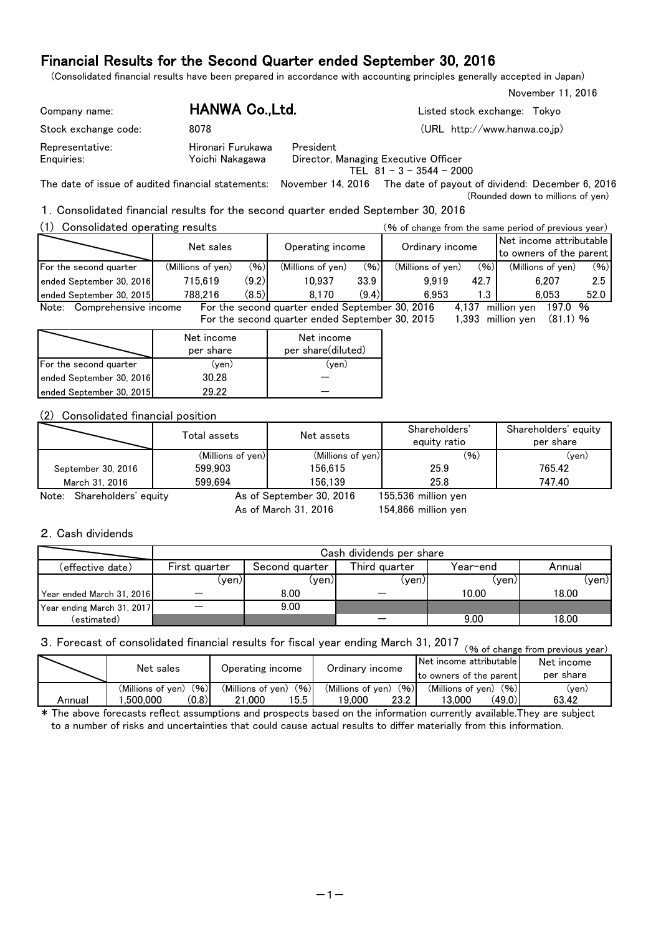(Consolidated financial results have been prepared in accordance with accounting principles generally accepted in Japan)

| Company name:                 | HANWA Co., Ltd.                      | Listed stock exchange:<br>Tokvo                                                 |
|-------------------------------|--------------------------------------|---------------------------------------------------------------------------------|
| Stock exchange code:          | 8078                                 | (URL http://www.hanwa.co.jp)                                                    |
| Representative:<br>Enquiries: | Hironari Furukawa<br>Yoichi Nakagawa | President<br>Director, Managing Executive Officer<br>TEL $81 - 3 - 3544 - 2000$ |

The date of issue of audited financial statements: November 14, 2016 The date of payout of dividend: December 6, 2016 (Rounded down to millions of yen)

### 1.Consolidated financial results for the second quarter ended September 30, 2016

| (1)<br>Consolidated operating results |                   |       | (% of change from the same period of previous year) |       |                           |       |                                                    |      |  |
|---------------------------------------|-------------------|-------|-----------------------------------------------------|-------|---------------------------|-------|----------------------------------------------------|------|--|
|                                       | Net sales         |       | Operating income                                    |       | Ordinary income           |       | Net income attributable<br>to owners of the parent |      |  |
| For the second quarter                | (Millions of yen) | (96)  | (Millions of ven)                                   | (96)  | (96)<br>(Millions of yen) |       | (Millions of ven)                                  | (96) |  |
| ended September 30, 2016              | 715.619           | (9.2) | 10.937                                              | 33.9  | 9.919                     | 42.7  | 6.207                                              | 2.5  |  |
| ended September 30, 2015              | 788.216           | (8.5) | 8.170                                               | (9.4) | 6.953                     | 1.3   | 6.053                                              | 52.0 |  |
| Note: Comprehensive income            |                   |       | For the second quarter ended September 30, 2016     |       |                           | 4.137 | million ven<br>197.0 %                             |      |  |
|                                       |                   |       | For the second quarter ended September 30, 2015     |       |                           | 1.393 | $(81.1)$ %<br>million ven                          |      |  |

|                          | Net income<br>per share | Net income<br>per share(diluted) |
|--------------------------|-------------------------|----------------------------------|
| For the second quarter   | (yen)                   | (ven)                            |
| ended September 30, 2016 | 30.28                   |                                  |
| ended September 30, 2015 | 29.22                   |                                  |

### (2) Consolidated financial position

|                            | Total assets      | Net assets                  | Shareholders'<br>equity ratio | Shareholders' equity<br>per share |  |
|----------------------------|-------------------|-----------------------------|-------------------------------|-----------------------------------|--|
|                            | (Millions of yen) | (Millions of yen)           | (96)                          | $(\mathsf{ven})$                  |  |
| September 30, 2016         | 599.903           | 156.615                     | 25.9                          | 765.42                            |  |
| March 31, 2016             | 599.694           | 156.139                     | 25.8                          | 747.40                            |  |
| Nata: Chanabaldana' saultu |                   | $A = 25$ Cantamber 20, 2018 | $15552$ mailling $1.25$       |                                   |  |

Note: Shareholders' equity **As of September 30, 2016** 

As of March 31, 2016

155,536 154,866 million yen November 11, 2016

#### 2.Cash dividends

|                            |               | Cash dividends per share |               |          |        |  |  |  |  |  |
|----------------------------|---------------|--------------------------|---------------|----------|--------|--|--|--|--|--|
| (effective date)           | First quarter | Second quarter           | Third quarter | Year-end | Annual |  |  |  |  |  |
|                            | (yen)l        | (ven)l                   | (yen)         | (ven)    | (yen)l |  |  |  |  |  |
| Year ended March 31, 2016  |               | 8.00                     |               | 10.00    | 18.00  |  |  |  |  |  |
| Year ending March 31, 2017 |               | 9.00                     |               |          |        |  |  |  |  |  |
| (estimated)                |               |                          |               | 9.00     | 18.00  |  |  |  |  |  |

# 3. Forecast of consolidated financial results for fiscal year ending March 31, 2017 (% of change from previous year)

|        | Net sales                 | Operating income          | Ordinary income           | <b>INet income attributable</b><br>Ito owners of the parent | Net income<br>per share |
|--------|---------------------------|---------------------------|---------------------------|-------------------------------------------------------------|-------------------------|
|        | (96)<br>(Millions of ven) | (96)<br>(Millions of ven) | (96)<br>(Millions of yen) | (96)<br>(Millions of ven)                                   | (yen)                   |
| Annual | (0.8)<br>.500.000         | 15.5<br>.000<br>21        | 23.2<br>19.000            | (49.0)<br>13.000                                            | 63.42                   |

\* The above forecasts reflect assumptions and prospects based on the information currently available.They are subject to a number of risks and uncertainties that could cause actual results to differ materially from this information.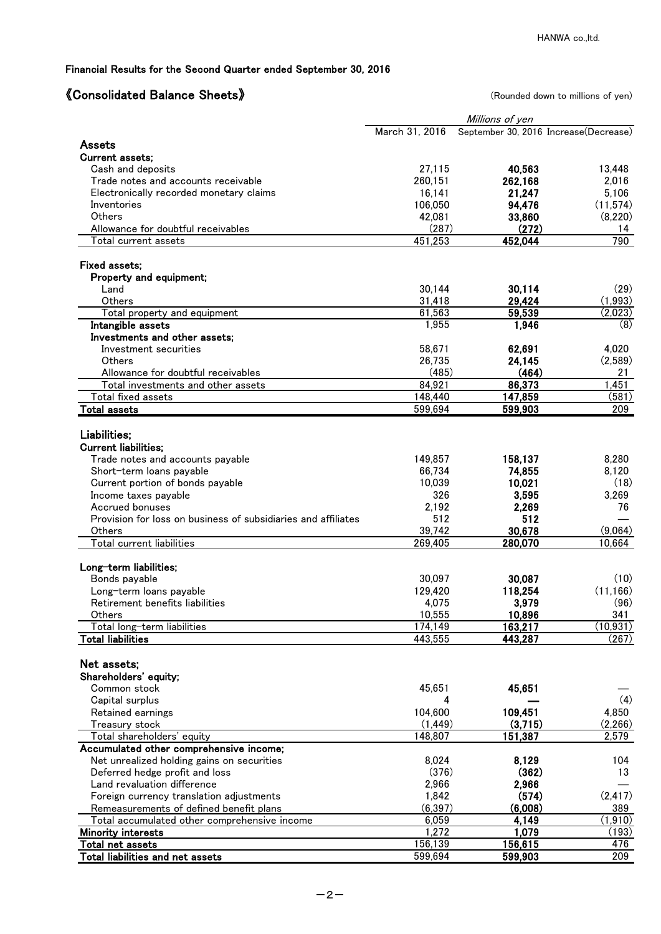# 《Consolidated Balance Sheets》 (Rounded down to millions of yen)

|                                                               | Millions of yen |         |                                       |  |  |  |
|---------------------------------------------------------------|-----------------|---------|---------------------------------------|--|--|--|
|                                                               | March 31, 2016  |         | September 30, 2016 Increase(Decrease) |  |  |  |
| Assets                                                        |                 |         |                                       |  |  |  |
| Current assets;                                               |                 |         |                                       |  |  |  |
| Cash and deposits                                             | 27,115          | 40,563  | 13,448                                |  |  |  |
| Trade notes and accounts receivable                           | 260,151         | 262,168 | 2,016                                 |  |  |  |
| Electronically recorded monetary claims                       | 16,141          | 21,247  | 5,106                                 |  |  |  |
| Inventories                                                   | 106,050         | 94,476  | (11, 574)                             |  |  |  |
| <b>Others</b>                                                 | 42,081          | 33,860  | (8,220)                               |  |  |  |
| Allowance for doubtful receivables                            | (287)           | (272)   | 14                                    |  |  |  |
| Total current assets                                          | 451,253         | 452,044 | 790                                   |  |  |  |
|                                                               |                 |         |                                       |  |  |  |
| Fixed assets;                                                 |                 |         |                                       |  |  |  |
| Property and equipment;                                       |                 |         |                                       |  |  |  |
| Land                                                          | 30,144          | 30,114  | (29)                                  |  |  |  |
| Others                                                        | 31,418          | 29,424  | (1,993)                               |  |  |  |
| Total property and equipment                                  | 61,563          | 59,539  | (2,023)                               |  |  |  |
| Intangible assets                                             | 1,955           | 1,946   | (8)                                   |  |  |  |
| Investments and other assets;                                 |                 |         |                                       |  |  |  |
| Investment securities                                         | 58,671          | 62,691  | 4,020                                 |  |  |  |
| Others                                                        | 26,735          | 24,145  | (2,589)                               |  |  |  |
| Allowance for doubtful receivables                            | (485)           | (464)   | 21                                    |  |  |  |
| Total investments and other assets                            | 84.921          | 86,373  | 1,451                                 |  |  |  |
| Total fixed assets                                            | 148,440         | 147,859 | (581)                                 |  |  |  |
| <b>Total assets</b>                                           | 599,694         | 599,903 | 209                                   |  |  |  |
|                                                               |                 |         |                                       |  |  |  |
| Liabilities;                                                  |                 |         |                                       |  |  |  |
| <b>Current liabilities;</b>                                   |                 |         |                                       |  |  |  |
|                                                               |                 |         |                                       |  |  |  |
| Trade notes and accounts payable                              | 149,857         | 158,137 | 8,280                                 |  |  |  |
| Short-term loans payable                                      | 66.734          | 74,855  | 8,120                                 |  |  |  |
| Current portion of bonds payable                              | 10,039          | 10,021  | (18)                                  |  |  |  |
| Income taxes payable                                          | 326             | 3,595   | 3,269                                 |  |  |  |
| Accrued bonuses                                               | 2,192           | 2,269   | 76                                    |  |  |  |
| Provision for loss on business of subsidiaries and affiliates | 512             | 512     |                                       |  |  |  |
| Others                                                        | 39,742          | 30,678  | (9,064)                               |  |  |  |
| Total current liabilities                                     | 269,405         | 280,070 | 10,664                                |  |  |  |
|                                                               |                 |         |                                       |  |  |  |
| Long-term liabilities;                                        |                 |         |                                       |  |  |  |
| Bonds payable                                                 | 30,097          | 30,087  | (10)                                  |  |  |  |
| Long-term loans payable                                       | 129,420         | 118,254 | (11, 166)                             |  |  |  |
| Retirement benefits liabilities                               | 4,075           | 3,979   | (96)                                  |  |  |  |
| Others                                                        | 10,555          | 10,896  | 341                                   |  |  |  |
| Total long-term liabilities                                   | 174,149         | 163,217 | (10, 931)                             |  |  |  |
| <b>Total liabilities</b>                                      | 443,555         | 443,287 | (267)                                 |  |  |  |
|                                                               |                 |         |                                       |  |  |  |
| Net assets;                                                   |                 |         |                                       |  |  |  |
| Shareholders' equity;                                         |                 |         |                                       |  |  |  |
| Common stock                                                  | 45,651          | 45,651  |                                       |  |  |  |
| Capital surplus                                               | 4               |         | (4)                                   |  |  |  |
| Retained earnings                                             | 104,600         | 109,451 | 4,850                                 |  |  |  |
| Treasury stock                                                | (1, 449)        | (3,715) | (2,266)                               |  |  |  |
| Total shareholders' equity                                    | 148,807         | 151,387 | 2,579                                 |  |  |  |
| Accumulated other comprehensive income;                       |                 |         |                                       |  |  |  |
| Net unrealized holding gains on securities                    | 8,024           | 8,129   | 104                                   |  |  |  |
| Deferred hedge profit and loss                                | (376)           | (362)   | 13                                    |  |  |  |
| Land revaluation difference                                   | 2,966           | 2,966   |                                       |  |  |  |
| Foreign currency translation adjustments                      | 1,842           | (574)   | (2, 417)                              |  |  |  |
| Remeasurements of defined benefit plans                       | (6, 397)        | (6,008) | 389                                   |  |  |  |
| Total accumulated other comprehensive income                  | 6,059           | 4,149   | (1, 910)                              |  |  |  |
| <b>Minority interests</b>                                     | 1,272           | 1,079   | (193)                                 |  |  |  |
| Total net assets                                              | 156,139         | 156,615 | 476                                   |  |  |  |
| Total liabilities and net assets                              | 599,694         | 599,903 | 209                                   |  |  |  |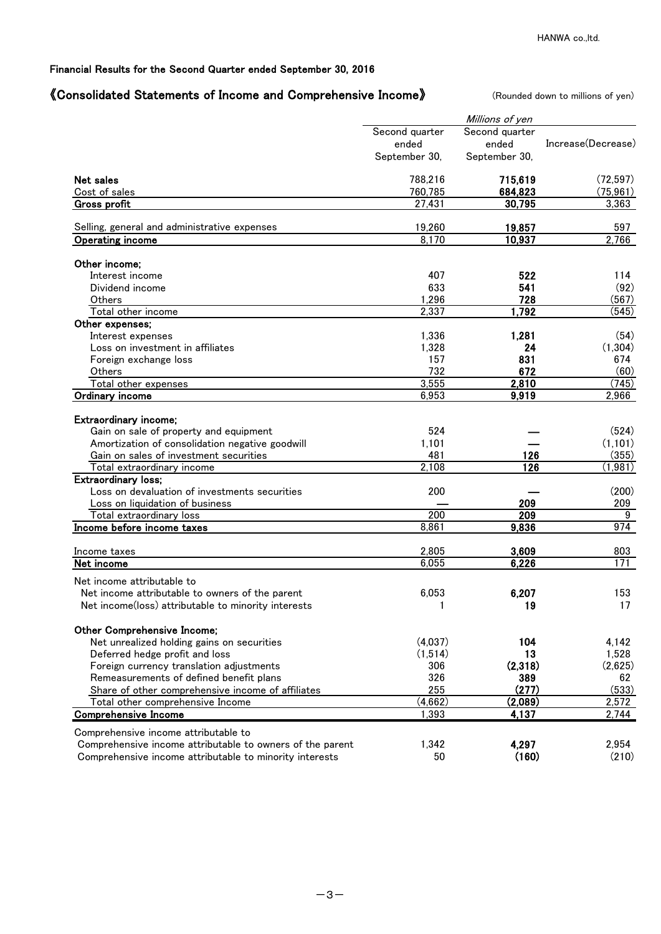## 《Consolidated Statements of Income and Comprehensive Income》 (Rounded down to millions of yen)

|                                                           |                | Millions of yen |                    |
|-----------------------------------------------------------|----------------|-----------------|--------------------|
|                                                           | Second quarter | Second quarter  |                    |
|                                                           | ended          | ended           | Increase(Decrease) |
|                                                           | September 30,  | September 30,   |                    |
| Net sales                                                 | 788,216        | 715,619         | (72, 597)          |
| Cost of sales                                             | 760,785        | 684,823         | (75, 961)          |
| <b>Gross profit</b>                                       | 27,431         | 30,795          | 3,363              |
| Selling, general and administrative expenses              | 19,260         | 19,857          | 597                |
| <b>Operating income</b>                                   | 8,170          | 10,937          | 2,766              |
| Other income;                                             |                |                 |                    |
| Interest income                                           | 407            | 522             | 114                |
| Dividend income                                           | 633            | 541             | (92)               |
| Others                                                    | 1,296          | 728             | (567)              |
| Total other income                                        | 2,337          | 1,792           | (545)              |
| Other expenses;                                           |                |                 |                    |
| Interest expenses                                         | 1,336          | 1,281           | (54)               |
| Loss on investment in affiliates                          | 1,328          | 24              | (1,304)            |
| Foreign exchange loss                                     | 157            | 831             | 674                |
| Others                                                    | 732            | 672             | (60)               |
| Total other expenses                                      | 3,555          | 2,810           | (745)              |
| Ordinary income                                           | 6,953          | 9,919           | 2,966              |
| Extraordinary income;                                     |                |                 |                    |
| Gain on sale of property and equipment                    | 524            |                 | (524)              |
| Amortization of consolidation negative goodwill           | 1,101          |                 | (1, 101)           |
| Gain on sales of investment securities                    | 481            | 126             | (355)              |
| Total extraordinary income                                | 2,108          | 126             | (1,981)            |
| Extraordinary loss;                                       |                |                 |                    |
| Loss on devaluation of investments securities             | 200            |                 | (200)              |
| Loss on liquidation of business                           |                | 209             | 209                |
| Total extraordinary loss                                  | 200            | 209             | 9                  |
| Income before income taxes                                | 8,861          | 9,836           | 974                |
| Income taxes                                              | 2,805          | 3,609           | 803                |
| Net income                                                | 6,055          | 6,226           | 171                |
| Net income attributable to                                |                |                 |                    |
| Net income attributable to owners of the parent           | 6,053          | 6,207           | 153                |
| Net income(loss) attributable to minority interests       | 1              | 19              | 17                 |
| Other Comprehensive Income;                               |                |                 |                    |
| Net unrealized holding gains on securities                | (4,037)        | 104             | 4,142              |
| Deferred hedge profit and loss                            | (1,514)        | 13              | 1,528              |
| Foreign currency translation adjustments                  | 306            | (2,318)         | (2,625)            |
| Remeasurements of defined benefit plans                   | 326            | 389             | 62                 |
| Share of other comprehensive income of affiliates         | 255            | (277)           | (533)              |
| Total other comprehensive Income                          | (4,662)        | (2,089)         | 2,572              |
| <b>Comprehensive Income</b>                               | 1,393          | 4,137           | 2,744              |
| Comprehensive income attributable to                      |                |                 |                    |
| Comprehensive income attributable to owners of the parent | 1,342          | 4,297           | 2,954              |
| Comprehensive income attributable to minority interests   | 50             | (160)           | (210)              |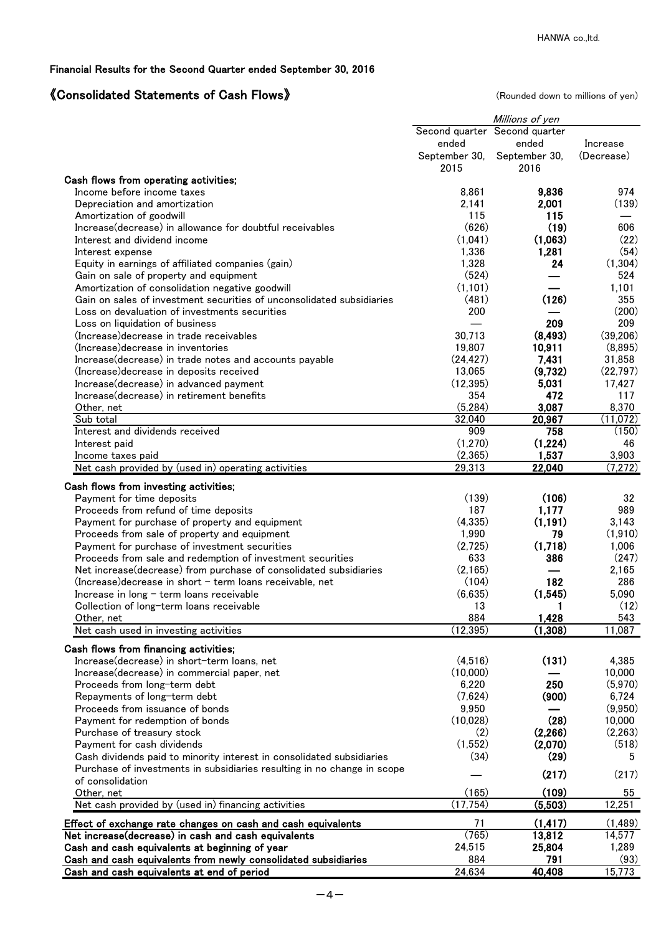# 《Consolidated Statements of Cash Flows》 (Rounded down to millions of yen)

|                                                                                            |                  | Millions of yen               |                 |
|--------------------------------------------------------------------------------------------|------------------|-------------------------------|-----------------|
|                                                                                            |                  | Second quarter Second quarter |                 |
|                                                                                            | ended            | ended                         | Increase        |
|                                                                                            | September 30,    | September 30,                 | (Decrease)      |
|                                                                                            | 2015             | 2016                          |                 |
| Cash flows from operating activities;<br>Income before income taxes                        | 8,861            | 9.836                         | 974             |
| Depreciation and amortization                                                              | 2,141            | 2,001                         | (139)           |
| Amortization of goodwill                                                                   | 115              | 115                           |                 |
| Increase(decrease) in allowance for doubtful receivables                                   | (626)            | (19)                          | 606             |
| Interest and dividend income                                                               | (1,041)          | (1,063)                       | (22)            |
| Interest expense                                                                           | 1,336            | 1,281                         | (54)            |
| Equity in earnings of affiliated companies (gain)                                          | 1,328            | 24                            | (1,304)         |
| Gain on sale of property and equipment                                                     | (524)            |                               | 524             |
| Amortization of consolidation negative goodwill                                            | (1, 101)         |                               | 1,101           |
| Gain on sales of investment securities of unconsolidated subsidiaries                      | (481)            | (126)                         | 355             |
| Loss on devaluation of investments securities                                              | 200              |                               | (200)           |
| Loss on liquidation of business                                                            |                  | 209                           | 209             |
| (Increase) decrease in trade receivables                                                   | 30,713           | (8, 493)                      | (39, 206)       |
| (Increase) decrease in inventories                                                         | 19,807           | 10,911                        | (8,895)         |
| Increase(decrease) in trade notes and accounts payable                                     | (24, 427)        | 7,431                         | 31,858          |
| (Increase) decrease in deposits received                                                   | 13,065           | (9,732)                       | (22, 797)       |
| Increase(decrease) in advanced payment                                                     | (12, 395)        | 5,031                         | 17,427          |
| Increase(decrease) in retirement benefits                                                  | 354              | 472                           | 117             |
| Other, net                                                                                 | (5, 284)         | 3,087                         | 8,370           |
| Sub total                                                                                  | 32,040           | 20,967                        | (11,072)        |
| Interest and dividends received                                                            | 909              | 758                           | (150)           |
| Interest paid                                                                              | (1,270)          | (1,224)                       | 46              |
| Income taxes paid                                                                          | (2,365)          | 1,537                         | 3,903           |
| Net cash provided by (used in) operating activities                                        | 29,313           | 22,040                        | (7,272)         |
| Cash flows from investing activities;                                                      |                  |                               |                 |
| Payment for time deposits                                                                  | (139)            | (106)                         | 32              |
| Proceeds from refund of time deposits                                                      | 187              | 1,177                         | 989             |
| Payment for purchase of property and equipment                                             | (4, 335)         | (1, 191)                      | 3,143           |
| Proceeds from sale of property and equipment                                               | 1,990            | 79                            | (1,910)         |
| Payment for purchase of investment securities                                              | (2,725)          | (1,718)                       | 1,006           |
| Proceeds from sale and redemption of investment securities                                 | 633              | 386                           | (247)           |
| Net increase (decrease) from purchase of consolidated subsidiaries                         | (2, 165)         |                               | 2,165           |
| $(Increase) decrease$ in short $-$ term loans receivable, net                              | (104)            | 182                           | 286             |
| Increase in long - term loans receivable                                                   | (6,635)          | (1, 545)                      | 5,090           |
| Collection of long-term loans receivable                                                   | 13               | 1                             | (12)            |
| <u>Other, net</u>                                                                          | 884              | 1,428                         | 543             |
| Net cash used in investing activities                                                      | (12, 395)        | (1,308)                       | 11,087          |
|                                                                                            |                  |                               |                 |
| Cash flows from financing activities;                                                      | (4,516)          | (131)                         |                 |
| Increase(decrease) in short-term loans, net<br>Increase(decrease) in commercial paper, net | (10,000)         |                               | 4,385<br>10,000 |
|                                                                                            |                  | 250                           | (5,970)         |
| Proceeds from long-term debt<br>Repayments of long-term debt                               | 6,220<br>(7,624) | (900)                         | 6,724           |
| Proceeds from issuance of bonds                                                            | 9,950            |                               | (9,950)         |
| Payment for redemption of bonds                                                            | (10,028)         | (28)                          | 10,000          |
| Purchase of treasury stock                                                                 | (2)              | (2,266)                       | (2,263)         |
| Payment for cash dividends                                                                 | (1,552)          | (2,070)                       | (518)           |
| Cash dividends paid to minority interest in consolidated subsidiaries                      | (34)             | (29)                          | 5               |
| Purchase of investments in subsidiaries resulting in no change in scope                    |                  |                               |                 |
| of consolidation                                                                           |                  | (217)                         | (217)           |
| Other, net                                                                                 | (165)            | (109)                         | 55              |
| Net cash provided by (used in) financing activities                                        | (17, 754)        | (5,503)                       | 12,251          |
|                                                                                            |                  |                               |                 |
| Effect of exchange rate changes on cash and cash equivalents                               | 71               | (1, 417)                      | (1,489)         |
| Net increase(decrease) in cash and cash equivalents                                        | (765)            | 13,812                        | 14,577          |
| Cash and cash equivalents at beginning of year                                             | 24,515           | 25,804                        | 1,289           |
| Cash and cash equivalents from newly consolidated subsidiaries                             | 884              | 791                           | (93)            |
| Cash and cash equivalents at end of period                                                 | 24,634           | 40,408                        | 15,773          |